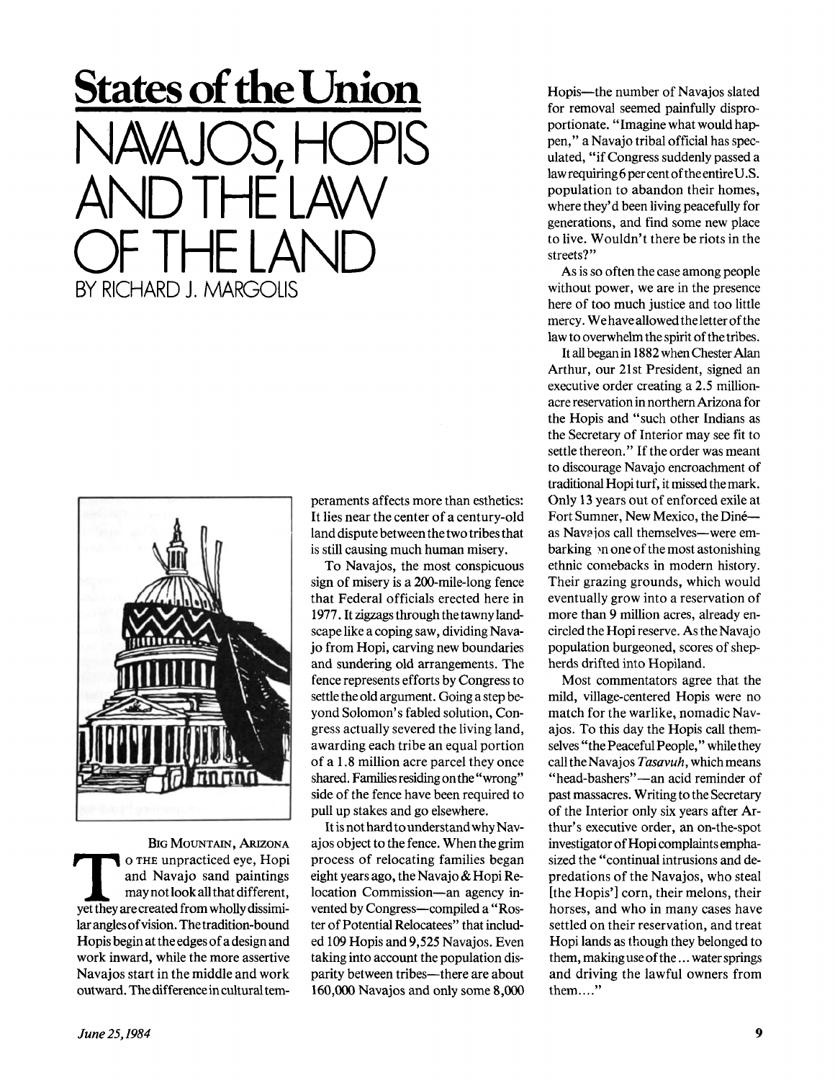



BIG MOUNTAIN, ARIZONA BIG MOUNTAIN, ARIZONA<br>
o THE unpracticed eye, Hopi<br>
and Navajo sand paintings<br>
may not look all that different,<br>
yet they are created from wholly dissimio THE unpracticed eye, Hopi and Navajo sand paintings may not look all that different, lar angles of vision. The tradition-bound Hopis begin at the edges of a design and work inward, while the more assertive Navajos start in the middle and work outward. The difference in cultural temperaments affects more than esthetics: It lies near the center of a century-old land dispute between the two tribes that is still causing much human misery.

To Navajos, the most conspicuous sign of misery is a 200-mile-long fence that Federal officials erected here in 1977. It zigzags through the tawny landscape like a coping saw, dividing Navajo from Hopi, carving new boundaries and sundering old arrangements. The fence represents efforts by Congress to settle the old argument. Going a step beyond Solomon's fabled solution, Congress actually severed the living land, awarding each tribe an equal portion of a 1.8 million acre parcel they once shared. Families residing on the "wrong" side of the fence have been required to pull up stakes and go elsewhere.

It is not hard to understand why Navajos object to the fence. When the grim process of relocating families began eight years ago, the Navajo & Hopi Relocation Commission—an agency invented by Congress—compiled a "Roster of Potential Relocatees" that included 109 Hopis and 9,525 Navajos. Even taking into account the population disparity between tribes—there are about 160,000 Navajos and only some 8,000

Hopis—the number of Navajos slated for removal seemed painfully disproportionate. " Imagine what would happen," a Navajo tribal official has speculated, "if Congress suddenly passed a law requiring 6 per cent of the entire U.S. population to abandon their homes, where they'd been living peacefully for generations, and find some new place to live. Wouldn't there be riots in the streets?"

As is so often the case among people without power, we are in the presence here of too much justice and too little mercy. We have allowed the letter of the law to overwhelm the spirit of the tribes.

It all began in 1882 when Chester Alan Arthur, our 21st President, signed an executive order creating a 2.5 millionacre reservation in northern Arizona for the Hopis and "such other Indians as the Secretary of Interior may see fit to settle thereon." If the order was meant to discourage Navajo encroachment of traditional Hopi turf, it missed the mark. Only 13 years out of enforced exile at Fort Sumner, New Mexico, the Dine as Navajos call themselves—were embarking >n one of the most astonishing ethnic comebacks in modern history. Their grazing grounds, which would eventually grow into a reservation of more than 9 million acres, already encircled the Hopi reserve. As the Navajo population burgeoned, scores of shepherds drifted into Hopiland.

Most commentators agree that the mild, village-centered Hopis were no match for the warlike, nomadic Navajos. To this day the Hopis call themselves "the Peaceful People," while they call the Navajos *Tasavuh,* which means "head-bashers"—an acid reminder of past massacres. Writing to the Secretary of the Interior only six years after Arthur's executive order, an on-the-spot investigator of Hopi complaints emphasized the "continual intrusions and depredations of the Navajos, who steal [the Hopis'] corn, their melons, their horses, and who in many cases have settled on their reservation, and treat Hopi lands as though they belonged to them, making use of the... water springs and driving the lawful owners from them...."